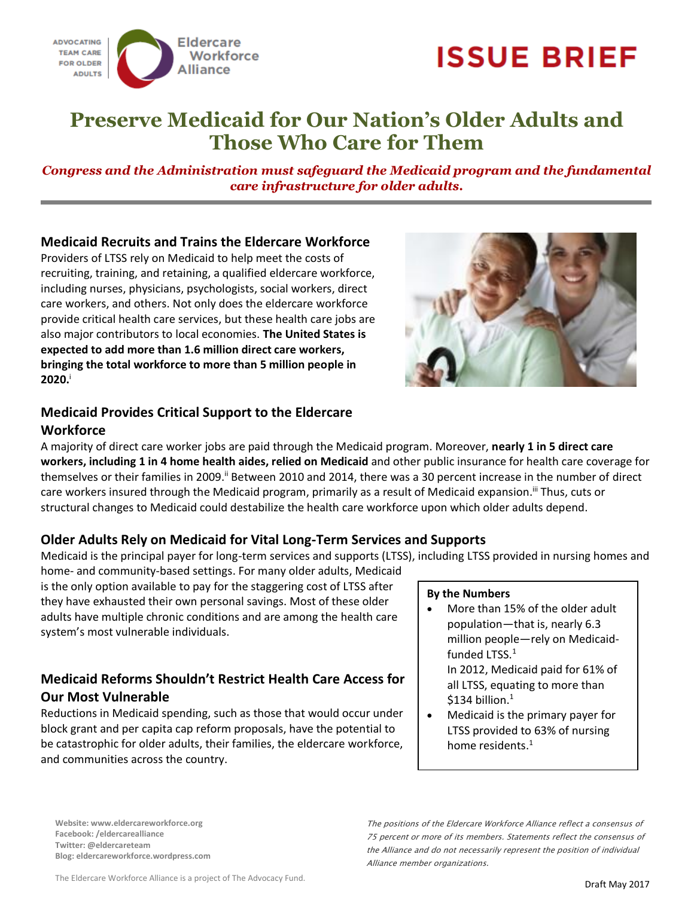

# **ISSUE BRIEF**

## **Preserve Medicaid for Our Nation's Older Adults and Those Who Care for Them**

*Congress and the Administration must safeguard the Medicaid program and the fundamental care infrastructure for older adults.* 

#### **Medicaid Recruits and Trains the Eldercare Workforce**

Providers of LTSS rely on Medicaid to help meet the costs of recruiting, training, and retaining, a qualified eldercare workforce, including nurses, physicians, psychologists, social workers, direct care workers, and others. Not only does the eldercare workforce provide critical health care services, but these health care jobs are also major contributors to local economies. **The United States is expected to add more than 1.6 million direct care workers, bringing the total workforce to more than 5 million people in 2020.**<sup>i</sup>



# **Medicaid Provides Critical Support to the Eldercare**

#### **Workforce**

A majority of direct care worker jobs are paid through the Medicaid program. Moreover, **nearly 1 in 5 direct care workers, including 1 in 4 home health aides, relied on Medicaid** and other public insurance for health care coverage for themselves or their families in 2009.<sup>ii</sup> Between 2010 and 2014, there was a 30 percent increase in the number of direct care workers insured through the Medicaid program, primarily as a result of Medicaid expansion.<sup>iii</sup> Thus, cuts or structural changes to Medicaid could destabilize the health care workforce upon which older adults depend.

### **Older Adults Rely on Medicaid for Vital Long-Term Services and Supports**

Medicaid is the principal payer for long-term services and supports (LTSS), including LTSS provided in nursing homes and

home- and community-based settings. For many older adults, Medicaid is the only option available to pay for the staggering cost of LTSS after they have exhausted their own personal savings. Most of these older adults have multiple chronic conditions and are among the health care system's most vulnerable individuals.

### **Medicaid Reforms Shouldn't Restrict Health Care Access for Our Most Vulnerable**

Reductions in Medicaid spending, such as those that would occur under block grant and per capita cap reform proposals, have the potential to be catastrophic for older adults, their families, the eldercare workforce, and communities across the country.

#### **By the Numbers**

 More than 15% of the older adult population—that is, nearly 6.3 million people—rely on Medicaidfunded LTSS.<sup>1</sup>

In 2012, Medicaid paid for 61% of all LTSS, equating to more than  $$134$  billion.<sup>1</sup>

 Medicaid is the primary payer for LTSS provided to 63% of nursing home residents.<sup>1</sup>

**Website: www.eldercareworkforce.org Facebook: /eldercarealliance Twitter: @eldercareteam Blog: eldercareworkforce.wordpress.com**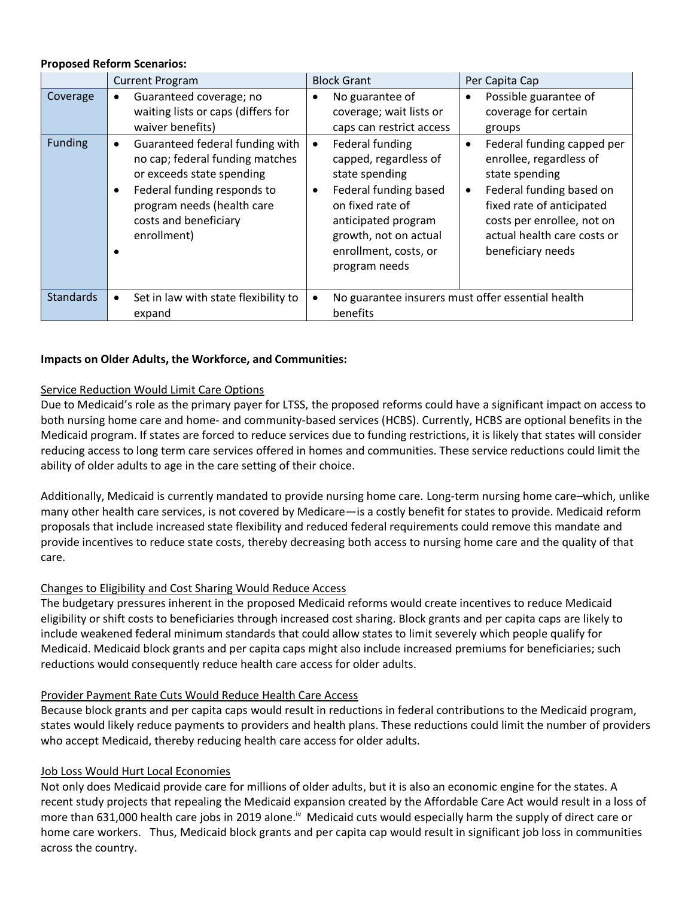#### **Proposed Reform Scenarios:**

|                  | <b>Current Program</b>                                                                                                                                                                               | <b>Block Grant</b>                                                                                                                                                                                     | Per Capita Cap                                                                                                                                                                                                                               |
|------------------|------------------------------------------------------------------------------------------------------------------------------------------------------------------------------------------------------|--------------------------------------------------------------------------------------------------------------------------------------------------------------------------------------------------------|----------------------------------------------------------------------------------------------------------------------------------------------------------------------------------------------------------------------------------------------|
| Coverage         | Guaranteed coverage; no<br>waiting lists or caps (differs for<br>waiver benefits)                                                                                                                    | No guarantee of<br>$\bullet$<br>coverage; wait lists or<br>caps can restrict access                                                                                                                    | Possible guarantee of<br>$\bullet$<br>coverage for certain<br>groups                                                                                                                                                                         |
| Funding          | Guaranteed federal funding with<br>no cap; federal funding matches<br>or exceeds state spending<br>Federal funding responds to<br>program needs (health care<br>costs and beneficiary<br>enrollment) | Federal funding<br>capped, regardless of<br>state spending<br>Federal funding based<br>٠<br>on fixed rate of<br>anticipated program<br>growth, not on actual<br>enrollment, costs, or<br>program needs | Federal funding capped per<br>$\bullet$<br>enrollee, regardless of<br>state spending<br>Federal funding based on<br>$\bullet$<br>fixed rate of anticipated<br>costs per enrollee, not on<br>actual health care costs or<br>beneficiary needs |
| <b>Standards</b> | Set in law with state flexibility to<br>expand                                                                                                                                                       | No guarantee insurers must offer essential health<br>benefits                                                                                                                                          |                                                                                                                                                                                                                                              |

#### **Impacts on Older Adults, the Workforce, and Communities:**

#### Service Reduction Would Limit Care Options

Due to Medicaid's role as the primary payer for LTSS, the proposed reforms could have a significant impact on access to both nursing home care and home- and community-based services (HCBS). Currently, HCBS are optional benefits in the Medicaid program. If states are forced to reduce services due to funding restrictions, it is likely that states will consider reducing access to long term care services offered in homes and communities. These service reductions could limit the ability of older adults to age in the care setting of their choice.

Additionally, Medicaid is currently mandated to provide nursing home care. Long-term nursing home care–which, unlike many other health care services, is not covered by Medicare—is a costly benefit for states to provide. Medicaid reform proposals that include increased state flexibility and reduced federal requirements could remove this mandate and provide incentives to reduce state costs, thereby decreasing both access to nursing home care and the quality of that care.

#### Changes to Eligibility and Cost Sharing Would Reduce Access

The budgetary pressures inherent in the proposed Medicaid reforms would create incentives to reduce Medicaid eligibility or shift costs to beneficiaries through increased cost sharing. Block grants and per capita caps are likely to include weakened federal minimum standards that could allow states to limit severely which people qualify for Medicaid. Medicaid block grants and per capita caps might also include increased premiums for beneficiaries; such reductions would consequently reduce health care access for older adults.

#### Provider Payment Rate Cuts Would Reduce Health Care Access

Because block grants and per capita caps would result in reductions in federal contributions to the Medicaid program, states would likely reduce payments to providers and health plans. These reductions could limit the number of providers who accept Medicaid, thereby reducing health care access for older adults.

#### Job Loss Would Hurt Local Economies

Not only does Medicaid provide care for millions of older adults, but it is also an economic engine for the states. A recent study projects that repealing the Medicaid expansion created by the Affordable Care Act would result in a loss of more than 631,000 health care jobs in 2019 alone.<sup>iv</sup> Medicaid cuts would especially harm the supply of direct care or home care workers. Thus, Medicaid block grants and per capita cap would result in significant job loss in communities across the country.